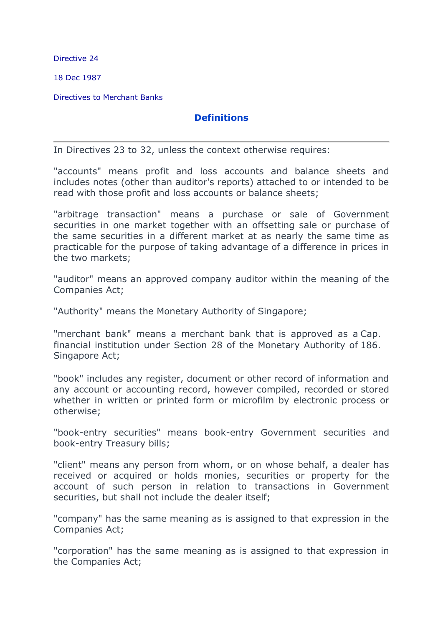Directive 24

18 Dec 1987

Directives to Merchant Banks

## **Definitions**

In Directives 23 to 32, unless the context otherwise requires:

"accounts" means profit and loss accounts and balance sheets and includes notes (other than auditor's reports) attached to or intended to be read with those profit and loss accounts or balance sheets;

"arbitrage transaction" means a purchase or sale of Government securities in one market together with an offsetting sale or purchase of the same securities in a different market at as nearly the same time as practicable for the purpose of taking advantage of a difference in prices in the two markets;

"auditor" means an approved company auditor within the meaning of the Companies Act;

"Authority" means the Monetary Authority of Singapore;

"merchant bank" means a merchant bank that is approved as a Cap. financial institution under Section 28 of the Monetary Authority of 186. Singapore Act;

"book" includes any register, document or other record of information and any account or accounting record, however compiled, recorded or stored whether in written or printed form or microfilm by electronic process or otherwise;

"book-entry securities" means book-entry Government securities and book-entry Treasury bills;

"client" means any person from whom, or on whose behalf, a dealer has received or acquired or holds monies, securities or property for the account of such person in relation to transactions in Government securities, but shall not include the dealer itself;

"company" has the same meaning as is assigned to that expression in the Companies Act;

"corporation" has the same meaning as is assigned to that expression in the Companies Act;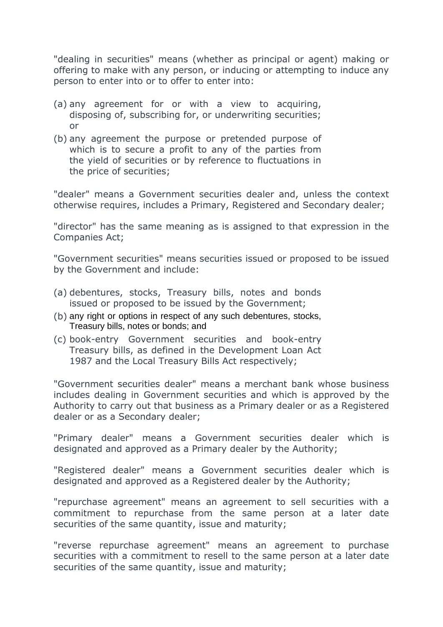"dealing in securities" means (whether as principal or agent) making or offering to make with any person, or inducing or attempting to induce any person to enter into or to offer to enter into:

- (a) any agreement for or with a view to acquiring, disposing of, subscribing for, or underwriting securities; or
- (b) any agreement the purpose or pretended purpose of which is to secure a profit to any of the parties from the yield of securities or by reference to fluctuations in the price of securities;

"dealer" means a Government securities dealer and, unless the context otherwise requires, includes a Primary, Registered and Secondary dealer;

"director" has the same meaning as is assigned to that expression in the Companies Act;

"Government securities" means securities issued or proposed to be issued by the Government and include:

- (a) debentures, stocks, Treasury bills, notes and bonds issued or proposed to be issued by the Government;
- (b) any right or options in respect of any such debentures, stocks, Treasury bills, notes or bonds; and
- (c) book-entry Government securities and book-entry Treasury bills, as defined in the Development Loan Act 1987 and the Local Treasury Bills Act respectively;

"Government securities dealer" means a merchant bank whose business includes dealing in Government securities and which is approved by the Authority to carry out that business as a Primary dealer or as a Registered dealer or as a Secondary dealer;

"Primary dealer" means a Government securities dealer which is designated and approved as a Primary dealer by the Authority;

"Registered dealer" means a Government securities dealer which is designated and approved as a Registered dealer by the Authority;

"repurchase agreement" means an agreement to sell securities with a commitment to repurchase from the same person at a later date securities of the same quantity, issue and maturity;

"reverse repurchase agreement" means an agreement to purchase securities with a commitment to resell to the same person at a later date securities of the same quantity, issue and maturity;